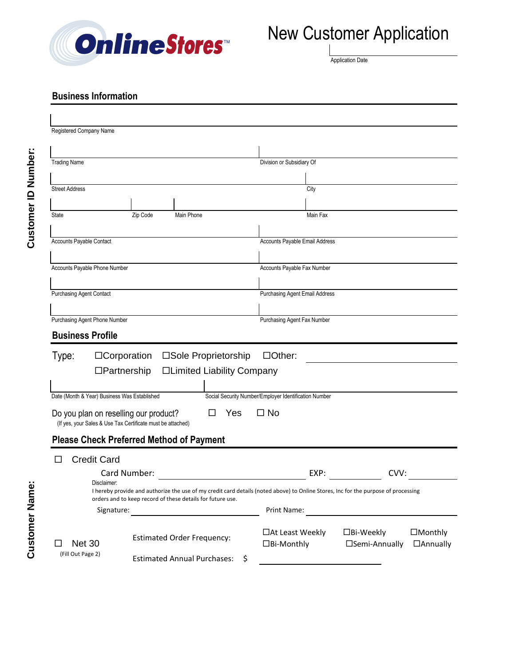

# New Customer Application

Application Date

#### **Business Information**

| Registered Company Name                                                                              |                                                                                                                                                                                                  |                                                       |                                                             |
|------------------------------------------------------------------------------------------------------|--------------------------------------------------------------------------------------------------------------------------------------------------------------------------------------------------|-------------------------------------------------------|-------------------------------------------------------------|
|                                                                                                      |                                                                                                                                                                                                  |                                                       |                                                             |
| <b>Trading Name</b>                                                                                  |                                                                                                                                                                                                  | Division or Subsidiary Of                             |                                                             |
|                                                                                                      |                                                                                                                                                                                                  |                                                       |                                                             |
| <b>Street Address</b>                                                                                |                                                                                                                                                                                                  | City                                                  |                                                             |
|                                                                                                      |                                                                                                                                                                                                  |                                                       |                                                             |
| State                                                                                                | Main Phone<br>Zip Code                                                                                                                                                                           | Main Fax                                              |                                                             |
|                                                                                                      |                                                                                                                                                                                                  |                                                       |                                                             |
| Accounts Payable Contact                                                                             |                                                                                                                                                                                                  | Accounts Payable Email Address                        |                                                             |
| Accounts Payable Phone Number                                                                        |                                                                                                                                                                                                  | Accounts Payable Fax Number                           |                                                             |
|                                                                                                      |                                                                                                                                                                                                  |                                                       |                                                             |
| <b>Purchasing Agent Contact</b>                                                                      |                                                                                                                                                                                                  | Purchasing Agent Email Address                        |                                                             |
|                                                                                                      |                                                                                                                                                                                                  |                                                       |                                                             |
| Purchasing Agent Phone Number                                                                        |                                                                                                                                                                                                  | Purchasing Agent Fax Number                           |                                                             |
| <b>Business Profile</b>                                                                              |                                                                                                                                                                                                  |                                                       |                                                             |
| Type:<br>$\Box$ Corporation                                                                          | □Sole Proprietorship                                                                                                                                                                             | $\Box$ Other:                                         |                                                             |
| $\Box$ Partnership                                                                                   | □Limited Liability Company                                                                                                                                                                       |                                                       |                                                             |
|                                                                                                      |                                                                                                                                                                                                  |                                                       |                                                             |
| Date (Month & Year) Business Was Established                                                         |                                                                                                                                                                                                  | Social Security Number/Employer Identification Number |                                                             |
| Do you plan on reselling our product?<br>(If yes, your Sales & Use Tax Certificate must be attached) | Yes                                                                                                                                                                                              | $\square$ No                                          |                                                             |
|                                                                                                      | <b>Please Check Preferred Method of Payment</b>                                                                                                                                                  |                                                       |                                                             |
| <b>Credit Card</b>                                                                                   |                                                                                                                                                                                                  |                                                       |                                                             |
| Card Number:                                                                                         |                                                                                                                                                                                                  | EXP:                                                  | CVV:                                                        |
| Disclaimer:                                                                                          |                                                                                                                                                                                                  |                                                       |                                                             |
|                                                                                                      | I hereby provide and authorize the use of my credit card details (noted above) to Online Stores, Inc for the purpose of processing<br>orders and to keep record of these details for future use. |                                                       |                                                             |
|                                                                                                      |                                                                                                                                                                                                  | Print Name:                                           |                                                             |
| <b>Net 30</b>                                                                                        | <b>Estimated Order Frequency:</b>                                                                                                                                                                | □ At Least Weekly<br>□Bi-Monthly                      | □Bi-Weekly<br>$\Box$ Monthly<br>□Semi-Annually<br>□Annually |
| (Fill Out Page 2)                                                                                    | <b>Estimated Annual Purchases:</b><br>\$                                                                                                                                                         |                                                       |                                                             |

**Customer Name:**

**Customer Name:**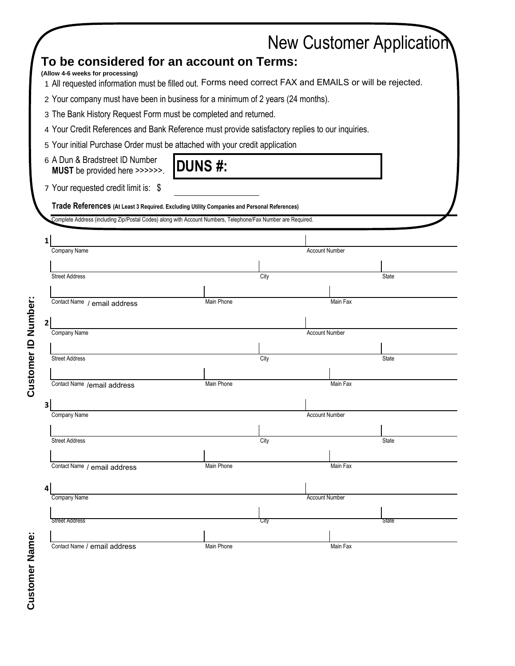|                     |   |                                                                                                              |            |      |                       | <b>New Customer Application</b> |  |  |
|---------------------|---|--------------------------------------------------------------------------------------------------------------|------------|------|-----------------------|---------------------------------|--|--|
|                     |   | To be considered for an account on Terms:                                                                    |            |      |                       |                                 |  |  |
|                     |   | (Allow 4-6 weeks for processing)                                                                             |            |      |                       |                                 |  |  |
|                     |   | 1 All requested information must be filled out. Forms need correct FAX and EMAILS or will be rejected.       |            |      |                       |                                 |  |  |
|                     |   | 2 Your company must have been in business for a minimum of 2 years (24 months).                              |            |      |                       |                                 |  |  |
|                     |   | 3 The Bank History Request Form must be completed and returned.                                              |            |      |                       |                                 |  |  |
|                     |   | 4 Your Credit References and Bank Reference must provide satisfactory replies to our inquiries.              |            |      |                       |                                 |  |  |
|                     |   | 5 Your initial Purchase Order must be attached with your credit application                                  |            |      |                       |                                 |  |  |
|                     |   | 6 A Dun & Bradstreet ID Number<br><b>DUNS#:</b><br>MUST be provided here >>>>>>.                             |            |      |                       |                                 |  |  |
|                     |   | 7 Your requested credit limit is: \$                                                                         |            |      |                       |                                 |  |  |
|                     |   | Trade References (At Least 3 Required. Excluding Utility Companies and Personal References)                  |            |      |                       |                                 |  |  |
|                     |   | Complete Address (including Zip/Postal Codes) along with Account Numbers, Telephone/Fax Number are Required. |            |      |                       |                                 |  |  |
|                     | 1 |                                                                                                              |            |      |                       |                                 |  |  |
|                     |   | Company Name                                                                                                 |            |      | <b>Account Number</b> |                                 |  |  |
|                     |   |                                                                                                              |            |      |                       |                                 |  |  |
|                     |   | <b>Street Address</b>                                                                                        |            | City |                       | <b>State</b>                    |  |  |
|                     |   |                                                                                                              |            |      |                       |                                 |  |  |
|                     |   | Contact Name / email address                                                                                 | Main Phone |      | Main Fax              |                                 |  |  |
|                     | 2 |                                                                                                              |            |      |                       |                                 |  |  |
| Customer ID Number: |   | Company Name                                                                                                 |            |      | <b>Account Number</b> |                                 |  |  |
|                     |   |                                                                                                              |            |      |                       |                                 |  |  |
|                     |   | <b>Street Address</b>                                                                                        |            | City |                       | <b>State</b>                    |  |  |
|                     |   | Contact Name /email address                                                                                  | Main Phone |      | Main Fax              |                                 |  |  |
|                     |   |                                                                                                              |            |      |                       |                                 |  |  |
|                     | 3 |                                                                                                              |            |      |                       |                                 |  |  |
|                     |   | Company Name                                                                                                 |            |      | <b>Account Number</b> |                                 |  |  |
|                     |   | <b>Street Address</b>                                                                                        |            | City |                       | State                           |  |  |
|                     |   |                                                                                                              |            |      |                       |                                 |  |  |
|                     |   | Contact Name / email address                                                                                 | Main Phone |      | Main Fax              |                                 |  |  |
|                     |   |                                                                                                              |            |      |                       |                                 |  |  |
|                     |   | Company Name                                                                                                 |            |      | <b>Account Number</b> |                                 |  |  |
|                     |   |                                                                                                              |            |      |                       |                                 |  |  |
|                     |   | <b>Street Address</b>                                                                                        |            | City |                       | State                           |  |  |
|                     |   |                                                                                                              |            |      |                       |                                 |  |  |
| Name:               |   | Contact Name / email address                                                                                 | Main Phone |      | Main Fax              |                                 |  |  |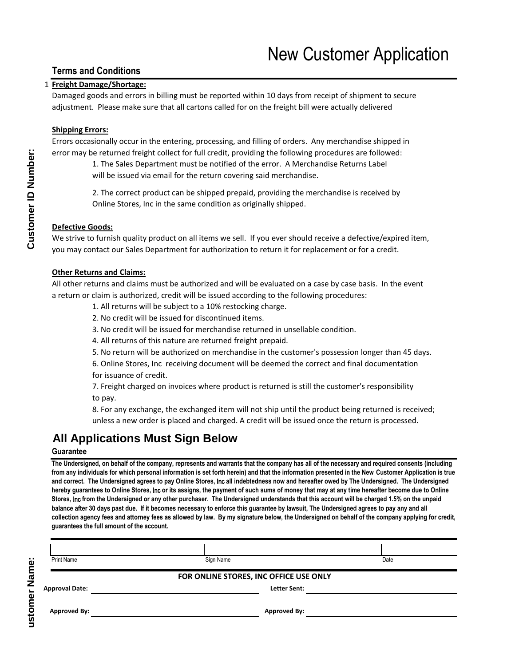#### **Terms and Conditions**

#### 1 **Freight Damage/Shortage:**

Damaged goods and errors in billing must be reported within 10 days from receipt of shipment to secure adjustment. Please make sure that all cartons called for on the freight bill were actually delivered

#### **Shipping Errors:**

Errors occasionally occur in the entering, processing, and filling of orders. Any merchandise shipped in error may be returned freight collect for full credit, providing the following procedures are followed:

> 1. The Sales Department must be notified of the error. A Merchandise Returns Label will be issued via email for the return covering said merchandise.

2. The correct product can be shipped prepaid, providing the merchandise is received by Online Stores, Inc in the same condition as originally shipped.

#### **Defective Goods:**

We strive to furnish quality product on all items we sell. If you ever should receive a defective/expired item, you may contact our Sales Department for authorization to return it for replacement or for a credit.

#### **Other Returns and Claims:**

All other returns and claims must be authorized and will be evaluated on a case by case basis. In the event a return or claim is authorized, credit will be issued according to the following procedures:

- 1. All returns will be subject to a 10% restocking charge.
- 2. No credit will be issued for discontinued items.
- 3. No credit will be issued for merchandise returned in unsellable condition.
- 4. All returns of this nature are returned freight prepaid.
- 5. No return will be authorized on merchandise in the customer's possession longer than 45 days.

6. Online Stores, Inc receiving document will be deemed the correct and final documentation for issuance of credit.

7. Freight charged on invoices where product is returned is still the customer's responsibility to pay.

8. For any exchange, the exchanged item will not ship until the product being returned is received; unless a new order is placed and charged. A credit will be issued once the return is processed.

### **All Applications Must Sign Below**

#### **Guarantee**

**Customer Name:**

ustomer Name:

**The Undersigned, on behalf of the company, represents and warrants that the company has all of the necessary and required consents (including from any individuals for which personal information is set forth herein) and that the information presented in the New Customer Application is true and correct. The Undersigned agrees to pay Online Stores,** Inc **all indebtedness now and hereafter owed by The Undersigned. The Undersigned hereby guarantees to Online Stores,** Inc **or its assigns, the payment of such sums of money that may at any time hereafter become due to Online Stores,** Inc **from the Undersigned or any other purchaser. The Undersigned understands that this account will be charged 1.5% on the unpaid balance after 30 days past due. If it becomes necessary to enforce this guarantee by lawsuit, The Undersigned agrees to pay any and all collection agency fees and attorney fees as allowed by law. By my signature below, the Undersigned on behalf of the company applying for credit, guarantees the full amount of the account.**

| <b>Print Name</b>                      | Sign Name           | Date |  |  |  |
|----------------------------------------|---------------------|------|--|--|--|
| FOR ONLINE STORES, INC OFFICE USE ONLY |                     |      |  |  |  |
| <b>Approval Date:</b>                  | <b>Letter Sent:</b> |      |  |  |  |
| <b>Approved By:</b>                    | <b>Approved By:</b> |      |  |  |  |